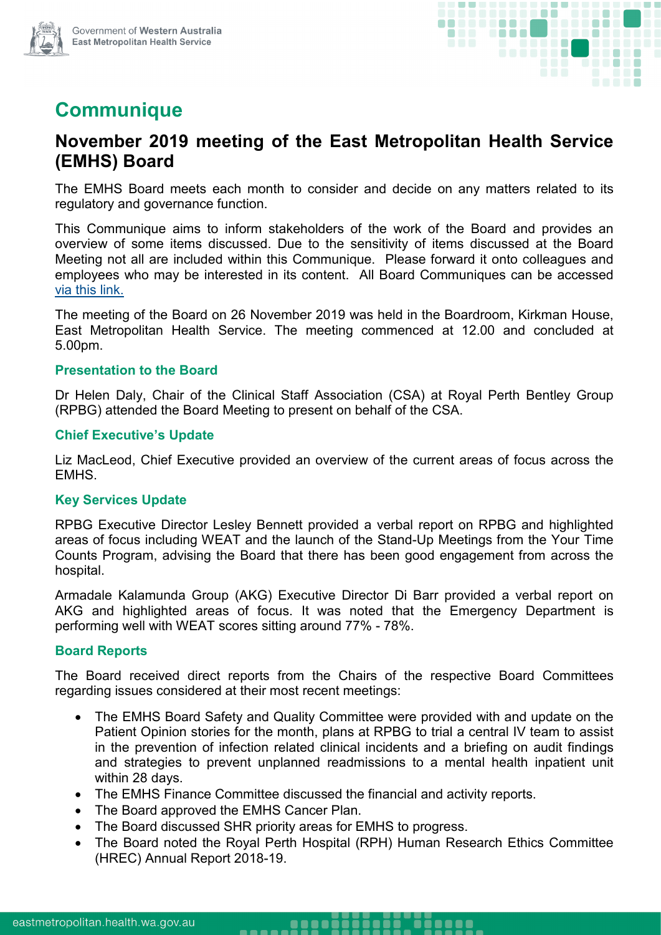

# **Communique**

## **November 2019 meeting of the East Metropolitan Health Service (EMHS) Board**

The EMHS Board meets each month to consider and decide on any matters related to its regulatory and governance function.

This Communique aims to inform stakeholders of the work of the Board and provides an overview of some items discussed. Due to the sensitivity of items discussed at the Board Meeting not all are included within this Communique. Please forward it onto colleagues and employees who may be interested in its content. All Board Communiques can be accessed [via this link.](https://emhs.health.wa.gov.au/About-Us/Health-Service-Board)

The meeting of the Board on 26 November 2019 was held in the Boardroom, Kirkman House, East Metropolitan Health Service. The meeting commenced at 12.00 and concluded at 5.00pm.

#### **Presentation to the Board**

Dr Helen Daly, Chair of the Clinical Staff Association (CSA) at Royal Perth Bentley Group (RPBG) attended the Board Meeting to present on behalf of the CSA.

#### **Chief Executive's Update**

Liz MacLeod, Chief Executive provided an overview of the current areas of focus across the EMHS.

#### **Key Services Update**

RPBG Executive Director Lesley Bennett provided a verbal report on RPBG and highlighted areas of focus including WEAT and the launch of the Stand-Up Meetings from the Your Time Counts Program, advising the Board that there has been good engagement from across the hospital.

Armadale Kalamunda Group (AKG) Executive Director Di Barr provided a verbal report on AKG and highlighted areas of focus. It was noted that the Emergency Department is performing well with WEAT scores sitting around 77% - 78%.

#### **Board Reports**

The Board received direct reports from the Chairs of the respective Board Committees regarding issues considered at their most recent meetings:

- The EMHS Board Safety and Quality Committee were provided with and update on the Patient Opinion stories for the month, plans at RPBG to trial a central IV team to assist in the prevention of infection related clinical incidents and a briefing on audit findings and strategies to prevent unplanned readmissions to a mental health inpatient unit within 28 days.
- The EMHS Finance Committee discussed the financial and activity reports.
- The Board approved the EMHS Cancer Plan.
- The Board discussed SHR priority areas for EMHS to progress.

-----

• The Board noted the Royal Perth Hospital (RPH) Human Research Ethics Committee (HREC) Annual Report 2018-19.

0000 000000